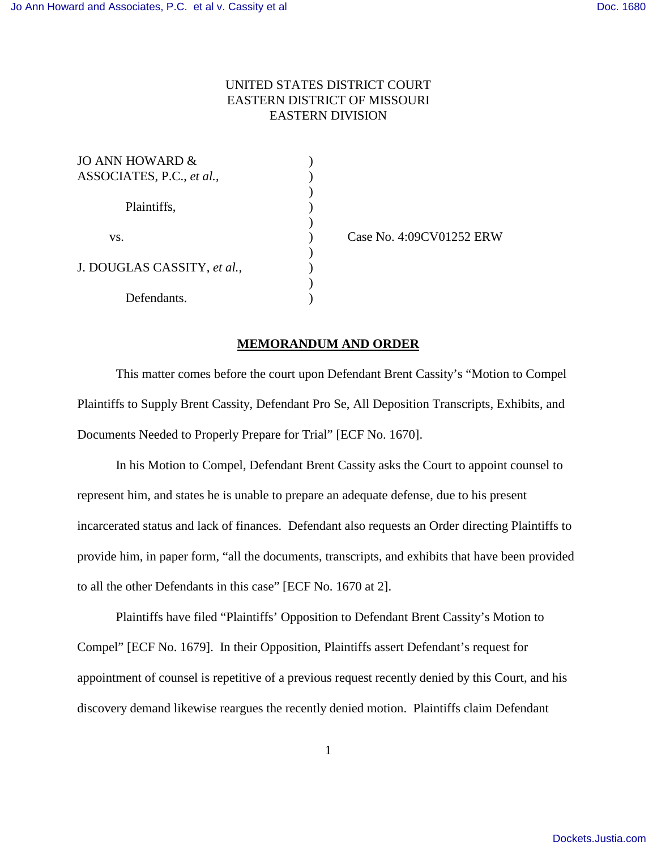## UNITED STATES DISTRICT COURT EASTERN DISTRICT OF MISSOURI EASTERN DIVISION

| JO ANN HOWARD $\&$          |  |
|-----------------------------|--|
| ASSOCIATES, P.C., et al.,   |  |
|                             |  |
| Plaintiffs,                 |  |
|                             |  |
| VS.                         |  |
|                             |  |
| J. DOUGLAS CASSITY, et al., |  |
|                             |  |
| Defendants.                 |  |

) Case No. 4:09CV01252 ERW

## **MEMORANDUM AND ORDER**

This matter comes before the court upon Defendant Brent Cassity's "Motion to Compel Plaintiffs to Supply Brent Cassity, Defendant Pro Se, All Deposition Transcripts, Exhibits, and Documents Needed to Properly Prepare for Trial" [ECF No. 1670].

In his Motion to Compel, Defendant Brent Cassity asks the Court to appoint counsel to represent him, and states he is unable to prepare an adequate defense, due to his present incarcerated status and lack of finances. Defendant also requests an Order directing Plaintiffs to provide him, in paper form, "all the documents, transcripts, and exhibits that have been provided to all the other Defendants in this case" [ECF No. 1670 at 2].

Plaintiffs have filed "Plaintiffs' Opposition to Defendant Brent Cassity's Motion to Compel" [ECF No. 1679]. In their Opposition, Plaintiffs assert Defendant's request for appointment of counsel is repetitive of a previous request recently denied by this Court, and his discovery demand likewise reargues the recently denied motion. Plaintiffs claim Defendant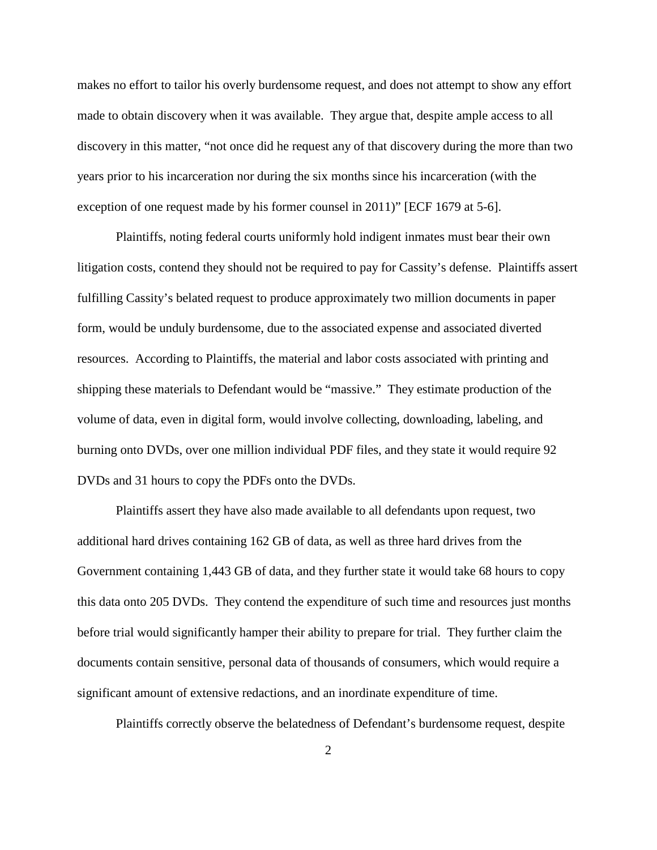makes no effort to tailor his overly burdensome request, and does not attempt to show any effort made to obtain discovery when it was available. They argue that, despite ample access to all discovery in this matter, "not once did he request any of that discovery during the more than two years prior to his incarceration nor during the six months since his incarceration (with the exception of one request made by his former counsel in 2011)" [ECF 1679 at 5-6].

Plaintiffs, noting federal courts uniformly hold indigent inmates must bear their own litigation costs, contend they should not be required to pay for Cassity's defense. Plaintiffs assert fulfilling Cassity's belated request to produce approximately two million documents in paper form, would be unduly burdensome, due to the associated expense and associated diverted resources. According to Plaintiffs, the material and labor costs associated with printing and shipping these materials to Defendant would be "massive." They estimate production of the volume of data, even in digital form, would involve collecting, downloading, labeling, and burning onto DVDs, over one million individual PDF files, and they state it would require 92 DVDs and 31 hours to copy the PDFs onto the DVDs.

Plaintiffs assert they have also made available to all defendants upon request, two additional hard drives containing 162 GB of data, as well as three hard drives from the Government containing 1,443 GB of data, and they further state it would take 68 hours to copy this data onto 205 DVDs. They contend the expenditure of such time and resources just months before trial would significantly hamper their ability to prepare for trial. They further claim the documents contain sensitive, personal data of thousands of consumers, which would require a significant amount of extensive redactions, and an inordinate expenditure of time.

Plaintiffs correctly observe the belatedness of Defendant's burdensome request, despite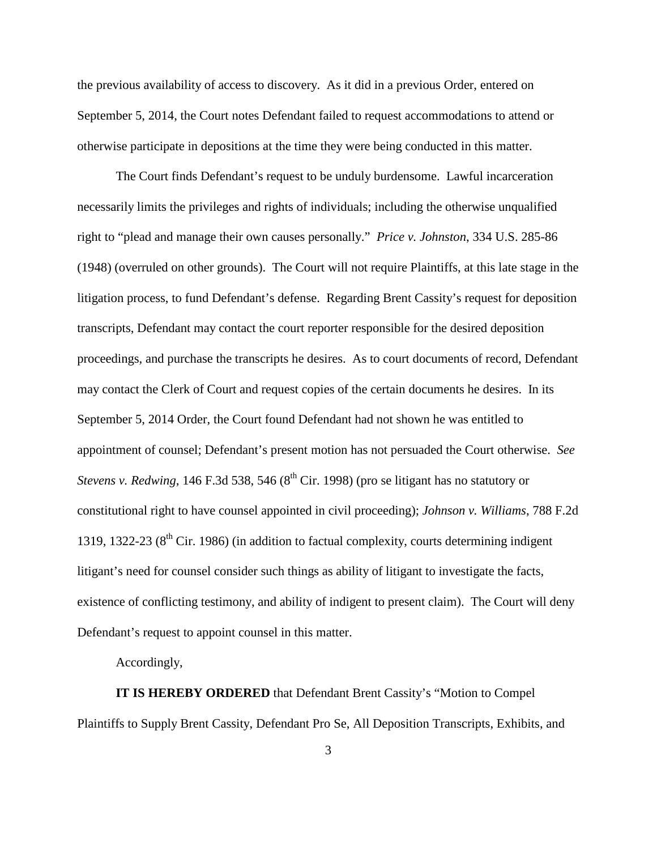the previous availability of access to discovery. As it did in a previous Order, entered on September 5, 2014, the Court notes Defendant failed to request accommodations to attend or otherwise participate in depositions at the time they were being conducted in this matter.

The Court finds Defendant's request to be unduly burdensome. Lawful incarceration necessarily limits the privileges and rights of individuals; including the otherwise unqualified right to "plead and manage their own causes personally." *Price v. Johnston*, 334 U.S. 285-86 (1948) (overruled on other grounds). The Court will not require Plaintiffs, at this late stage in the litigation process, to fund Defendant's defense. Regarding Brent Cassity's request for deposition transcripts, Defendant may contact the court reporter responsible for the desired deposition proceedings, and purchase the transcripts he desires. As to court documents of record, Defendant may contact the Clerk of Court and request copies of the certain documents he desires. In its September 5, 2014 Order, the Court found Defendant had not shown he was entitled to appointment of counsel; Defendant's present motion has not persuaded the Court otherwise. *See Stevens v. Redwing*, 146 F.3d 538, 546 (8<sup>th</sup> Cir. 1998) (pro se litigant has no statutory or constitutional right to have counsel appointed in civil proceeding); *Johnson v. Williams*, 788 F.2d 1319, 1322-23  $(8<sup>th</sup>$  Cir. 1986) (in addition to factual complexity, courts determining indigent litigant's need for counsel consider such things as ability of litigant to investigate the facts, existence of conflicting testimony, and ability of indigent to present claim). The Court will deny Defendant's request to appoint counsel in this matter.

Accordingly,

**IT IS HEREBY ORDERED** that Defendant Brent Cassity's "Motion to Compel Plaintiffs to Supply Brent Cassity, Defendant Pro Se, All Deposition Transcripts, Exhibits, and